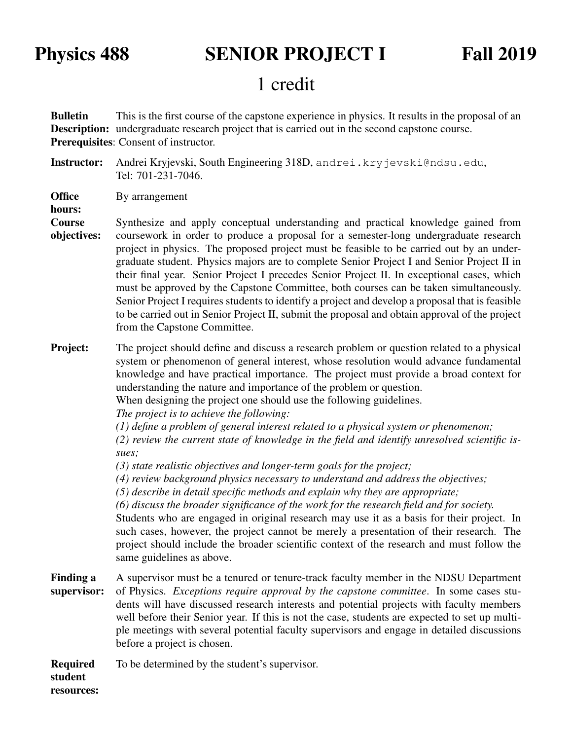Physics 488 SENIOR PROJECT I Fall 2019

## 1 credit

Bulletin Description: undergraduate research project that is carried out in the second capstone course. This is the first course of the capstone experience in physics. It results in the proposal of an Prerequisites: Consent of instructor.

Instructor: Andrei Kryjevski, South Engineering 318D, andrei.kryjevski@ndsu.edu, Tel: 701-231-7046.

**Office** By arrangement

hours:

Course objectives: Synthesize and apply conceptual understanding and practical knowledge gained from coursework in order to produce a proposal for a semester-long undergraduate research project in physics. The proposed project must be feasible to be carried out by an undergraduate student. Physics majors are to complete Senior Project I and Senior Project II in their final year. Senior Project I precedes Senior Project II. In exceptional cases, which must be approved by the Capstone Committee, both courses can be taken simultaneously. Senior Project I requires students to identify a project and develop a proposal that is feasible to be carried out in Senior Project II, submit the proposal and obtain approval of the project from the Capstone Committee.

**Project:** The project should define and discuss a research problem or question related to a physical system or phenomenon of general interest, whose resolution would advance fundamental knowledge and have practical importance. The project must provide a broad context for understanding the nature and importance of the problem or question.

When designing the project one should use the following guidelines.

*The project is to achieve the following:*

*(1) define a problem of general interest related to a physical system or phenomenon;*

*(2) review the current state of knowledge in the field and identify unresolved scientific issues;*

*(3) state realistic objectives and longer-term goals for the project;*

*(4) review background physics necessary to understand and address the objectives;*

*(5) describe in detail specific methods and explain why they are appropriate;*

*(6) discuss the broader significance of the work for the research field and for society.*

Students who are engaged in original research may use it as a basis for their project. In such cases, however, the project cannot be merely a presentation of their research. The project should include the broader scientific context of the research and must follow the same guidelines as above.

Finding a supervisor: A supervisor must be a tenured or tenure-track faculty member in the NDSU Department of Physics. *Exceptions require approval by the capstone committee*. In some cases students will have discussed research interests and potential projects with faculty members well before their Senior year. If this is not the case, students are expected to set up multiple meetings with several potential faculty supervisors and engage in detailed discussions before a project is chosen.

Required To be determined by the student's supervisor.